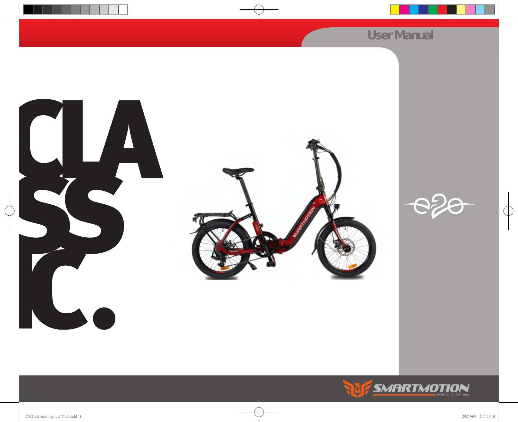## *User Manual*





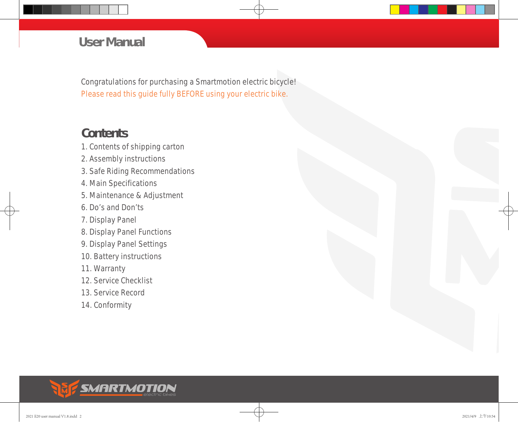#### *User Manual*

Congratulations for purchasing a Smartmotion electric bicycle! Please read this guide fully BEFORE using your electric bike.

#### **Contents**

- 1. Contents of shipping carton
- 2. Assembly instructions
- 3. Safe Riding Recommendations
- 4. Main Specifications
- 5. Maintenance & Adjustment
- 6. Do's and Don'ts
- 7. Display Panel
- 8. Display Panel Functions
- 9. Display Panel Settings
- 10. Battery instructions
- 11. Warranty
- 12. Service Checklist
- 13. Service Record
- 14. Conformity

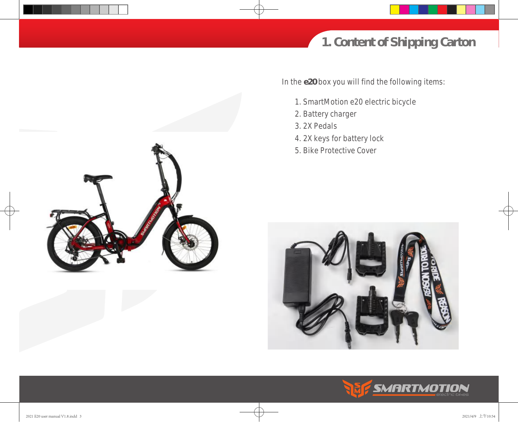

In the **e20** box you will find the following items:

- 1. SmartMotion e20 electric bicycle
- 2. Battery charger
- 3. 2X Pedals
- 4. 2X keys for battery lock
- 5. Bike Protective Cover





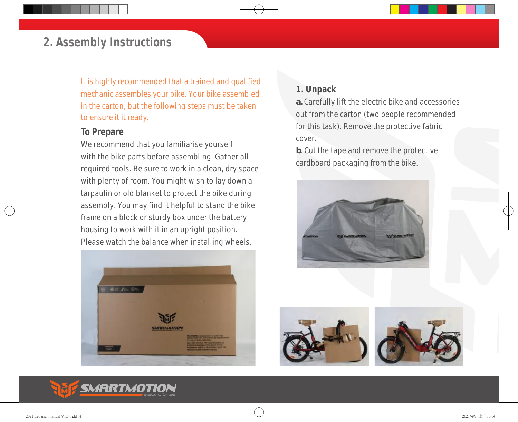*It is highly recommended that a trained and qualified mechanic assembles your bike. Your bike assembled in the carton, but the following steps must be taken to ensure it it ready.* 

#### *To Prepare*

We recommend that you familiarise yourself with the bike parts before assembling. Gather all required tools. Be sure to work in a clean, dry space with plenty of room. You might wish to lay down a tarpaulin or old blanket to protect the bike during assembly. You may find it helpful to stand the bike frame on a block or sturdy box under the battery housing to work with it in an upright position. Please watch the balance when installing wheels.



#### *1. Unpack*

**a.** Carefully lift the electric bike and accessories out from the carton (two people recommended for this task). Remove the protective fabric cover.

**b**. Cut the tape and remove the protective cardboard packaging from the bike.







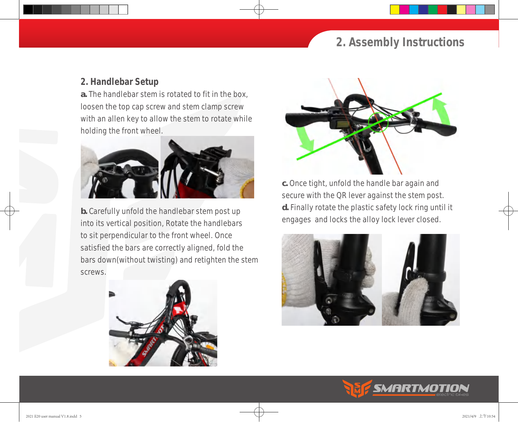#### *2. Handlebar Setup*

**a.** The handlebar stem is rotated to fit in the box, loosen the top cap screw and stem clamp screw with an allen key to allow the stem to rotate while holding the front wheel.



**b.** Carefully unfold the handlebar stem post up into its vertical position, Rotate the handlebars to sit perpendicular to the front wheel. Once satisfied the bars are correctly aligned, fold the bars down(without twisting) and retighten the stem screws.





**c.** Once tight, unfold the handle bar again and secure with the QR lever against the stem post. **d.** Finally rotate the plastic safety lock ring until it engages and locks the alloy lock lever closed.



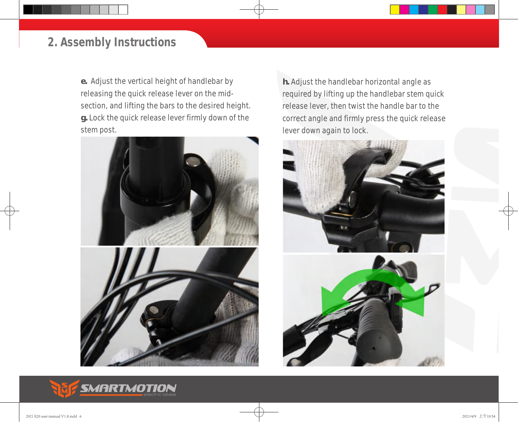**e.** Adjust the vertical height of handlebar by releasing the quick release lever on the midsection, and lifting the bars to the desired height. **g.** Lock the quick release lever firmly down of the stem post.





**h.** Adjust the handlebar horizontal angle as required by lifting up the handlebar stem quick release lever, then twist the handle bar to the correct angle and firmly press the quick release lever down again to lock.





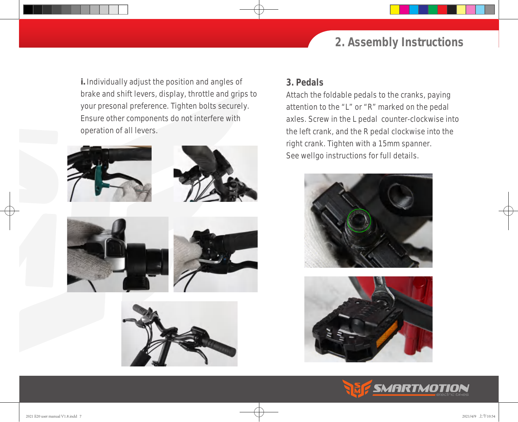**i.** Individually adjust the position and angles of brake and shift levers, display, throttle and grips to your presonal preference. Tighten bolts securely. Ensure other components do not interfere with operation of all levers.











#### *3. Pedals*

Attach the foldable pedals to the cranks, paying attention to the "L" or "R" marked on the pedal axles. Screw in the L pedal counter-clockwise into the left crank, and the R pedal clockwise into the right crank. Tighten with a 15mm spanner. See wellgo instructions for full details.





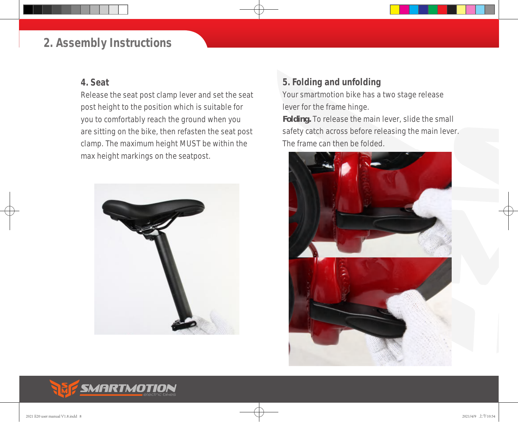#### *4. Seat*

Release the seat post clamp lever and set the seat post height to the position which is suitable for you to comfortably reach the ground when you are sitting on the bike, then refasten the seat post clamp. The maximum height MUST be within the max height markings on the seatpost.



#### *5. Folding and unfolding*

Your smartmotion bike has a two stage release lever for the frame hinge.

**Folding.** To release the main lever, slide the small safety catch across before releasing the main lever. The frame can then be folded.



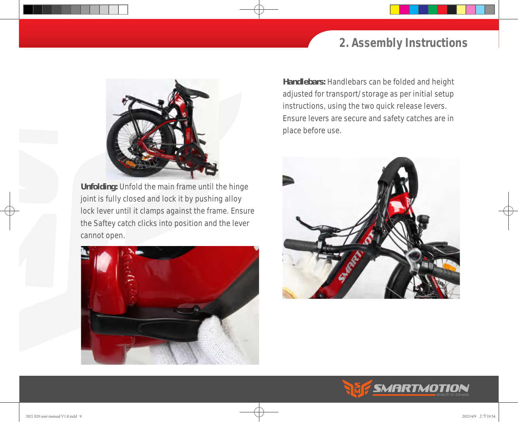

**Unfolding:** Unfold the main frame until the hinge joint is fully closed and lock it by pushing alloy lock lever until it clamps against the frame. Ensure the Saftey catch clicks into position and the lever cannot open.



**Handlebars:** Handlebars can be folded and height adjusted for transport/storage as per initial setup instructions, using the two quick release levers. Ensure levers are secure and safety catches are in place before use.



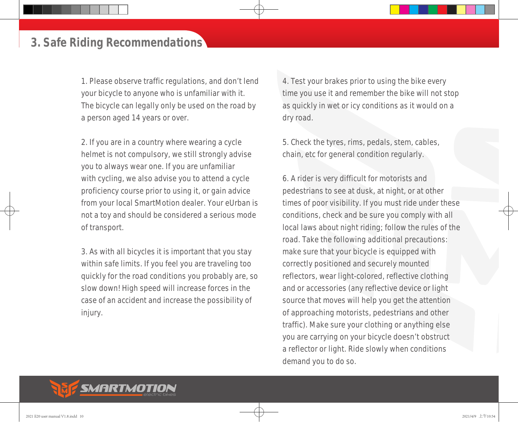#### *3. Safe Riding Recommendations*

1. Please observe traffic regulations, and don't lend your bicycle to anyone who is unfamiliar with it. The bicycle can legally only be used on the road by a person aged 14 years or over.

2. If you are in a country where wearing a cycle helmet is not compulsory, we still strongly advise you to always wear one. If you are unfamiliar with cycling, we also advise you to attend a cycle proficiency course prior to using it, or gain advice from your local SmartMotion dealer. Your eUrban is not a toy and should be considered a serious mode of transport.

3. As with all bicycles it is important that you stay within safe limits. If you feel you are traveling too quickly for the road conditions you probably are, so slow down! High speed will increase forces in the case of an accident and increase the possibility of injury.

4. Test your brakes prior to using the bike every time you use it and remember the bike will not stop as quickly in wet or icy conditions as it would on a dry road.

5. Check the tyres, rims, pedals, stem, cables, chain, etc for general condition regularly.

6. A rider is very difficult for motorists and pedestrians to see at dusk, at night, or at other times of poor visibility. If you must ride under these conditions, check and be sure you comply with all local laws about night riding; follow the rules of the road. Take the following additional precautions: make sure that your bicycle is equipped with correctly positioned and securely mounted reflectors, wear light-colored, reflective clothing and or accessories (any reflective device or light source that moves will help you get the attention of approaching motorists, pedestrians and other traffic). Make sure your clothing or anything else you are carrying on your bicycle doesn't obstruct a reflector or light. Ride slowly when conditions demand you to do so.

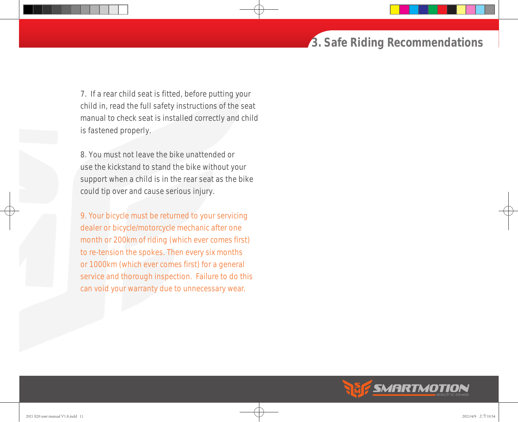#### *3. Safe Riding Recommendations*

7. If a rear child seat is fitted, before putting your child in, read the full safety instructions of the seat manual to check seat is installed correctly and child is fastened properly.

8. You must not leave the bike unattended or use the kickstand to stand the bike without your support when a child is in the rear seat as the bike could tip over and cause serious injury.

*9. Your bicycle must be returned to your servicing dealer or bicycle/motorcycle mechanic after one month or 200km of riding (which ever comes first) to re-tension the spokes. Then every six months or 1000km (which ever comes first) for a general service and thorough inspection. Failure to do this can void your warranty due to unnecessary wear.* 

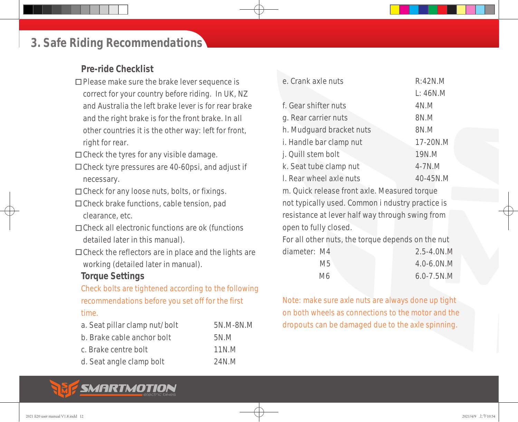#### *3. Safe Riding Recommendations*

#### *Pre-ride Checklist*

- □ Please make sure the brake lever sequence is correct for your country before riding. In UK, NZ and Australia the left brake lever is for rear brake and the right brake is for the front brake. In all other countries it is the other way: left for front, right for rear.
- $\Box$  Check the tyres for any visible damage.
- $\Box$  Check tyre pressures are 40-60psi, and adjust if necessary.
- □ Check for any loose nuts, bolts, or fixings.
- □ Check brake functions, cable tension, pad clearance, etc.
- □ Check all electronic functions are ok (functions detailed later in this manual).
- $\Box$  Check the reflectors are in place and the lights are working (detailed later in manual).

#### *Torque Settings*

*Check bolts are tightened according to the following recommendations before you set off for the first time.* 

| a. Seat pillar clamp nut/bolt | 5N.M-8N.M |
|-------------------------------|-----------|
| b. Brake cable anchor bolt    | 5N.M      |
| c. Brake centre bolt          | 11N.M     |
| d. Seat angle clamp bolt      | 24N.M     |

| e. Crank axle nuts       | R:42N.M        |
|--------------------------|----------------|
|                          | L: 46N.M       |
| f. Gear shifter nuts     | 4N.M           |
| g. Rear carrier nuts     | 8N.M           |
| h. Mudguard bracket nuts | 8N.M           |
| i. Handle bar clamp nut  | 17-20N.M       |
| j. Quill stem bolt       | 19N.M          |
| k. Seat tube clamp nut   | $4 - 7N$ . $M$ |
| I. Rear wheel axle nuts  | 40-45N.M       |
|                          |                |

m. Quick release front axle. Measured torque not typically used. Common i ndustry practice is resistance at lever half way through swing from open to fully closed.

For all other nuts, the torque depends on the nut diameter: M4 2.5-4.0N.M M5 4.0-6.0N.M

| IVIJ. | $H. U$ -U.UIV.IVI |
|-------|-------------------|
| M6    | $6.0 - 7.5 N.M$   |

*Note: make sure axle nuts are always done up tight on both wheels as connections to the motor and the dropouts can be damaged due to the axle spinning.*

## SMARTMOTION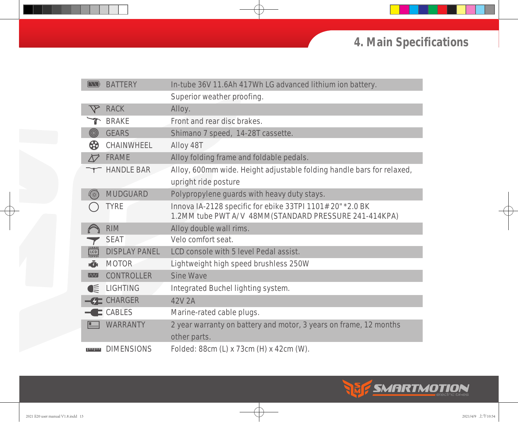## *4. Main Specifications*

| الككا                    | <b>BATTERY</b>       | In-tube 36V 11.6Ah 417Wh LG advanced lithium ion battery.                                                         |
|--------------------------|----------------------|-------------------------------------------------------------------------------------------------------------------|
|                          |                      | Superior weather proofing.                                                                                        |
|                          | <b>RACK</b>          | Alloy.                                                                                                            |
|                          | <b>BRAKE</b>         | Front and rear disc brakes.                                                                                       |
| (@)                      | <b>GEARS</b>         | Shimano 7 speed, 14-28T cassette.                                                                                 |
| ₩                        | <b>CHAINWHEEL</b>    | Alloy 48T                                                                                                         |
|                          | <b>FRAME</b>         | Alloy folding frame and foldable pedals.                                                                          |
|                          | <b>HANDLE BAR</b>    | Alloy, 600mm wide. Height adjustable folding handle bars for relaxed,                                             |
|                          |                      | upright ride posture                                                                                              |
|                          | <b>MUDGUARD</b>      | Polypropylene guards with heavy duty stays.                                                                       |
|                          | <b>TYRE</b>          | Innova IA-2128 specific for ebike 33TPI 1101# 20"*2.0 BK<br>1.2MM tube PWT A/V 48MM(STANDARD PRESSURE 241-414KPA) |
|                          | <b>RIM</b>           | Alloy double wall rims.                                                                                           |
|                          | <b>SEAT</b>          | Velo comfort seat.                                                                                                |
| ECD                      | <b>DISPLAY PANEL</b> | LCD console with 5 level Pedal assist.                                                                            |
| <b>KZH</b>               | <b>MOTOR</b>         | Lightweight high speed brushless 250W                                                                             |
| $\mathsf{I} \mathcal{N}$ | <b>CONTROLLER</b>    | <b>Sine Wave</b>                                                                                                  |
| Œ                        | <b>LIGHTING</b>      | Integrated Buchel lighting system.                                                                                |
|                          | <b>-CHARGER</b>      | 42V 2A                                                                                                            |
|                          | $\leftarrow$ CABLES  | Marine-rated cable plugs.                                                                                         |
| L                        | <b>WARRANTY</b>      | 2 year warranty on battery and motor, 3 years on frame, 12 months<br>other parts.                                 |
| استرست                   | <b>DIMENSIONS</b>    | Folded: 88cm (L) x 73cm (H) x 42cm (W).                                                                           |

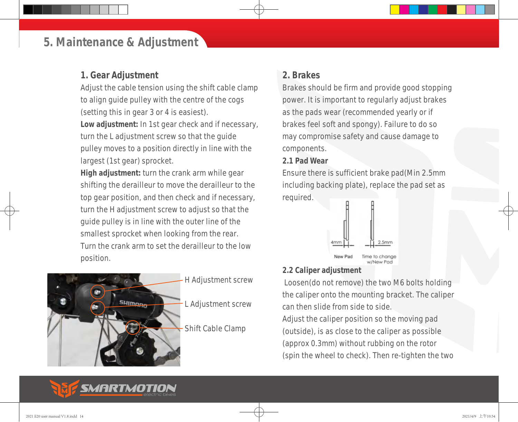#### *5. Maintenance & Adjustment*

#### *1. Gear Adjustment*

Adjust the cable tension using the shift cable clamp to align guide pulley with the centre of the cogs (setting this in gear 3 or 4 is easiest). **Low adjustment:** In 1st gear check and if necessary, turn the L adjustment screw so that the guide pulley moves to a position directly in line with the largest (1st gear) sprocket.

**High adjustment:** turn the crank arm while gear shifting the derailleur to move the derailleur to the top gear position, and then check and if necessary, turn the H adjustment screw to adjust so that the guide pulley is in line with the outer line of the smallest sprocket when looking from the rear. Turn the crank arm to set the derailleur to the low position.



#### *2. Brakes*

Brakes should be firm and provide good stopping power. It is important to regularly adjust brakes as the pads wear (recommended yearly or if brakes feel soft and spongy). Failure to do so may compromise safety and cause damage to components.

#### *2.1 Pad Wear*

Ensure there is sufficient brake pad(Min 2.5mm including backing plate), replace the pad set as required.



#### *2.2 Caliper adjustment*

 Loosen(do not remove) the two M6 bolts holding the caliper onto the mounting bracket. The caliper can then slide from side to side.

w/New Pad

Adjust the caliper position so the moving pad (outside), is as close to the caliper as possible (approx 0.3mm) without rubbing on the rotor (spin the wheel to check). Then re-tighten the two

## SMARTMOTION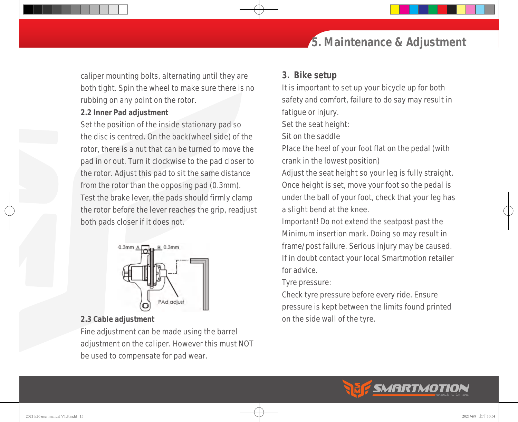#### caliper mounting bolts, alternating until they are *3. Bike setup*

both tight. Spin the wheel to make sure there is no rubbing on any point on the rotor.

#### *2.2 Inner Pad adjustment*

Set the position of the inside stationary pad so the disc is centred. On the back(wheel side) of the rotor, there is a nut that can be turned to move the pad in or out. Turn it clockwise to the pad closer to the rotor. Adjust this pad to sit the same distance from the rotor than the opposing pad (0.3mm). Test the brake lever, the pads should firmly clamp the rotor before the lever reaches the grip, readjust both pads closer if it does not.

# *5. Maintenance & Adjustment*

It is important to set up your bicycle up for both safety and comfort, failure to do say may result in

fatigue or injury.

Set the seat height:

Sit on the saddle

Place the heel of your foot flat on the pedal (with crank in the lowest position)

Adjust the seat height so your leg is fully straight. Once height is set, move your foot so the pedal is under the ball of your foot, check that your leg has a slight bend at the knee.

Important! Do not extend the seatpost past the Minimum insertion mark. Doing so may result in frame/post failure. Serious injury may be caused. If in doubt contact your local Smartmotion retailer for advice.

Tyre pressure:

Check tyre pressure before every ride. Ensure pressure is kept between the limits found printed on the side wall of the tyre.

**SMARTMOTIO** 



PAd adjus

#### *2.3 Cable adjustment*

Fine adjustment can be made using the barrel adjustment on the caliper. However this must NOT be used to compensate for pad wear.



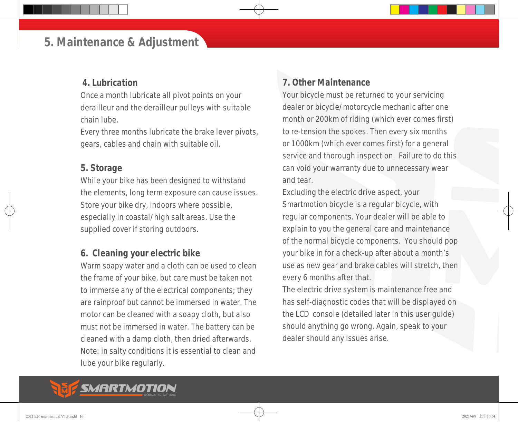#### *5. Maintenance & Adjustment*

#### *4. Lubrication*

Once a month lubricate all pivot points on your derailleur and the derailleur pulleys with suitable chain lube.

Every three months lubricate the brake lever pivots, gears, cables and chain with suitable oil.

#### *5. Storage*

While your bike has been designed to withstand the elements, long term exposure can cause issues. Store your bike dry, indoors where possible, especially in coastal/high salt areas. Use the supplied cover if storing outdoors.

#### *6. Cleaning your electric bike*

Warm soapy water and a cloth can be used to clean the frame of your bike, but care must be taken not to immerse any of the electrical components; they are rainproof but cannot be immersed in water. The motor can be cleaned with a soapy cloth, but also must not be immersed in water. The battery can be cleaned with a damp cloth, then dried afterwards. Note: in salty conditions it is essential to clean and lube your bike regularly.

#### *7. Other Maintenance*

Your bicycle must be returned to your servicing dealer or bicycle/motorcycle mechanic after one month or 200km of riding (which ever comes first) to re-tension the spokes. Then every six months or 1000km (which ever comes first) for a general service and thorough inspection. Failure to do this can void your warranty due to unnecessary wear and tear.

Excluding the electric drive aspect, your Smartmotion bicycle is a regular bicycle, with regular components. Your dealer will be able to explain to you the general care and maintenance of the normal bicycle components. You should pop your bike in for a check-up after about a month's use as new gear and brake cables will stretch, then every 6 months after that.

The electric drive system is maintenance free and has self-diagnostic codes that will be displayed on the LCD console (detailed later in this user guide) should anything go wrong. Again, speak to your dealer should any issues arise.

## *MARTMOTION*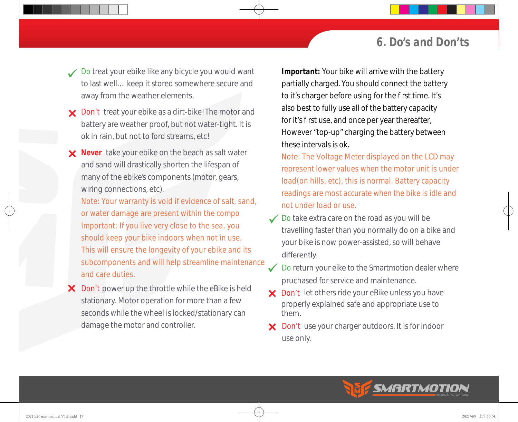#### *6. Do's and Don'ts*

- Do treat your ebike like any bicycle you would want to last well… keep it stored somewhere secure and away from the weather elements.
- X Don't treat your ebike as a dirt-bike! The motor and battery are weather proof, but not water-tight. It is ok in rain, but not to ford streams, etc!
- **X** Never take your ebike on the beach as salt water and sand will drastically shorten the lifespan of many of the ebike's components (motor, gears, wiring connections, etc).
	- *Note: Your warranty is void if evidence of salt, sand, or water damage are present within the compo Important: If you live very close to the sea, you should keep your bike indoors when not in use. This will ensure the longevity of your ebike and its subcomponents and will help streamline maintenance and care duties.*
- damage the motor and controller. X Don't power up the throttle while the eBike is held stationary. Motor operation for more than a few seconds while the wheel is locked/stationary can

Important: Your bike will arrive with the battery partially charged. You should connect the battery to it's charger before using for the rst time. It's also best to fully use all of the battery capacity for it's rst use, and once per year thereafter, However "top-up" charging the battery between these intervals is ok.

- *load(on hills, etc), this is normal. Battery capacity Note: The Voltage Meter displayed on the LCD may represent lower values when the motor unit is under readings are most accurate when the bike is idle and not under load or use.*
- Do take extra care on the road as you will be travelling faster than you normally do on a bike and your bike is now power-assisted, so will behave differently.
- Do return your eike to the Smartmotion dealer where pruchased for service and maintenance.
- X Don't let others ride your eBike unless you have properly explained safe and appropriate use to them.
- X Don't use your charger outdoors. It is for indoor use only.

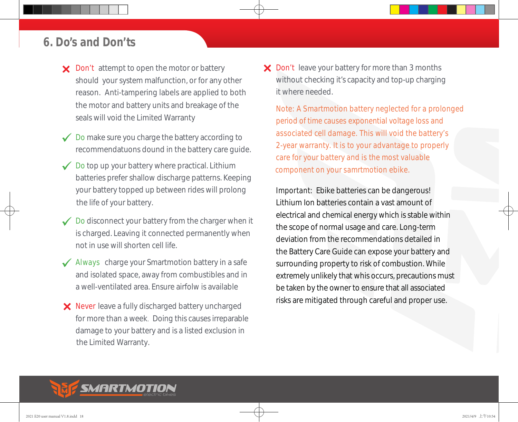#### *6. Do's and Don'ts*

- X Don't attempt to open the motor or battery should your system malfunction, or for any other reason. Anti-tampering labels are applied to both the motor and battery units and breakage of the seals will void the Limited Warranty
- Do make sure you charge the battery according to recommendatuons dound in the battery care guide.
- Do top up your battery where practical. Lithium batteries prefer shallow discharge patterns. Keeping your battery topped up between rides will prolong the life of your battery.
- Do disconnect your battery from the charger when it is charged. Leaving it connected permanently when not in use will shorten cell life.
- Always charge your Smartmotion battery in a safe and isolated space, away from combustibles and in a well-ventilated area. Ensure airfolw is available
- X Never leave a fully discharged battery uncharged for more than a week. Doing this causes irreparable damage to your battery and is a listed exclusion in the Limited Warranty.

X Don't leave your battery for more than 3 months without checking it's capacity and top-up charging it where needed.

*Note: A Smartmotion battery neglected for a prolonged period of time causes exponential voltage loss and associated cell damage. This will void the battery's 2-year warranty. It is to your advantage to properly care for your battery and is the most valuable component on your samrtmotion ebike.* 

Important: Ebike batteries can be dangerous! Lithium Ion batteries contain a vast amount of electrical and chemical energy which is stable within the scope of normal usage and care. Long-term deviation from the recommendations detailed in the Battery Care Guide can expose your battery and surrounding property to risk of combustion. While be taken by the owner to ensure that all associated risks are mitigated through careful and proper use. extremely unlikely that whis occurs, precautions must

## SMARTMOTION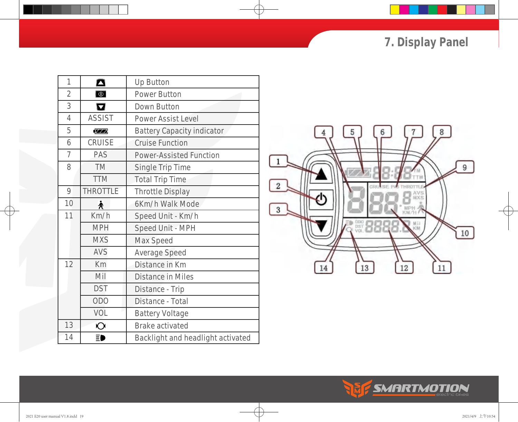*7. Display Panel*

| 1              | $\boldsymbol{\Delta}$   | <b>Up Button</b>                  |
|----------------|-------------------------|-----------------------------------|
| $\overline{2}$ | $\boxed{0}$             | <b>Power Button</b>               |
| 3              | $\overline{\mathbf{u}}$ | <b>Down Button</b>                |
| $\overline{4}$ | <b>ASSIST</b>           | <b>Power Assist Level</b>         |
| 5              | <b>777</b>              | <b>Battery Capacity indicator</b> |
| 6              | <b>CRUISE</b>           | <b>Cruise Function</b>            |
| $\overline{7}$ | <b>PAS</b>              | <b>Power-Assisted Function</b>    |
| 8              | <b>TM</b>               | <b>Single Trip Time</b>           |
|                | <b>TTM</b>              | <b>Total Trip Time</b>            |
| 9              | <b>THROTTLE</b>         | <b>Throttle Display</b>           |
| 10             | 头                       | 6Km/h Walk Mode                   |
| 11             | Km/h                    | Speed Unit - Km/h                 |
|                | <b>MPH</b>              | <b>Speed Unit - MPH</b>           |
|                | <b>MXS</b>              | <b>Max Speed</b>                  |
|                | <b>AVS</b>              | <b>Average Speed</b>              |
| 12             | <b>Km</b>               | Distance in Km                    |
|                | Mil                     | <b>Distance in Miles</b>          |
|                | <b>DST</b>              | Distance - Trip                   |
|                | <b>ODO</b>              | Distance - Total                  |
|                | VOL                     | <b>Battery Voltage</b>            |
| 13             | $\overline{O}$          | <b>Brake activated</b>            |
| 14             | ΞD                      | Backlight and headlight activated |



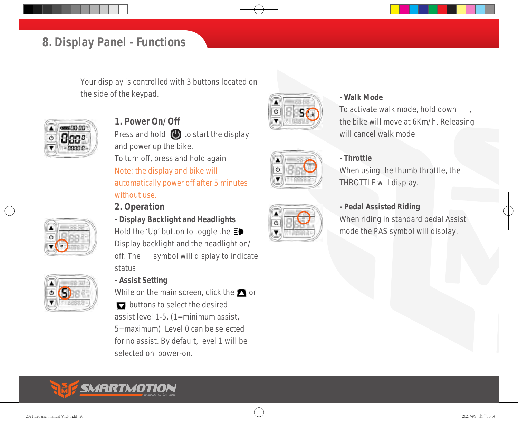#### *8. Display Panel - Functions*

Your display is controlled with 3 buttons located on the side of the keypad. *and the side of the keypad. COLLEGE CONDITION* 



*1. Power On/Off* Press and hold  $\bigoplus$  to start the display and power up the bike. To turn off, press and hold again *Note: the display and bike will automatically power off after 5 minutes without use.*

#### *2. Operation*





*- Display Backlight and Headlights* Hold the 'Up' button to toggle the  $\Xi$ Display backlight and the headlight on/ off. The symbol will display to indicate status.

#### *- Assist Setting*

While on the main screen, click the  $\blacksquare$  or D buttons to select the desired assist level 1-5. (1=minimum assist, 5=maximum). Level 0 can be selected for no assist. By default, level 1 will be selected on power-on.



# O

To activate walk mode, hold down , the bike will move at 6Km/h. Releasing will cancel walk mode.

#### *- Throttle*

When using the thumb throttle, the THROTTLE will display.

#### *- Pedal Assisted Riding*

When riding in standard pedal Assist mode the PAS symbol will display.

## SMARTMOTION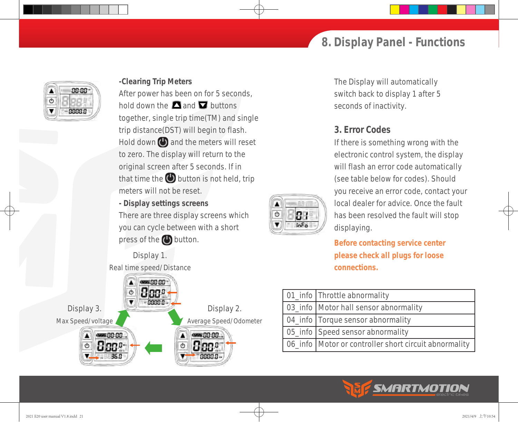#### *8. Display Panel - Functions*



#### *-Clearing Trip Meters*

After power has been on for 5 seconds, hold down the  $\Box$  and  $\Box$  buttons together, single trip time(TM) and single trip distance(DST) will begin to flash. Hold down  $\bigcirc$  and the meters will reset to zero. The display will return to the original screen after 5 seconds. If in that time the  $\bigoplus$  button is not held, trip meters will not be reset.

*- Display settings screens* There are three display screens which you can cycle between with a short press of the  $\bigoplus$  button.

▲ Ò

▼

B

 $InFo$ 

Display 1. Real time speed/Distance



The Display will automatically switch back to display 1 after 5 seconds of inactivity.

#### *3. Error Codes*

If there is something wrong with the electronic control system, the display will flash an error code automatically (see table below for codes). Should you receive an error code, contact your local dealer for advice. Once the fault has been resolved the fault will stop displaying.

**Before contacting service center please check all plugs for loose connections.**

| 01_info Throttle abnormality                            |
|---------------------------------------------------------|
| 03_info   Motor hall sensor abnormality                 |
| 04_info   Torque sensor abnormality                     |
| 05_info   Speed sensor abnormality                      |
| 06_info   Motor or controller short circuit abnormality |

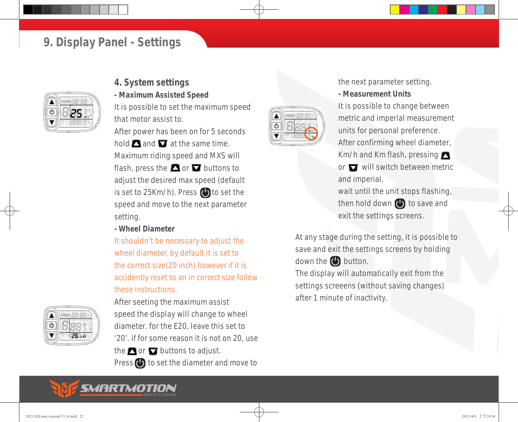#### *9. Display Panel - Settings*



#### *4. System settings*

*- Maximum Assisted Speed*

It is possible to set the maximum speed that motor assist to.

After power has been on for 5 seconds hold  $\blacksquare$  and  $\blacksquare$  at the same time. Maximum riding speed and MXS will flash, press the  $\blacksquare$  or  $\blacksquare$  buttons to adjust the desired max speed (default is set to 25Km/h). Press  $\bigoplus$  to set the speed and move to the next parameter setting.

*- Wheel Diameter*

*It shouldn't be necessary to adjust the wheel diameter, by default it is set to the correct size(20 inch) however if it is accidently reset to an in correct size follow these instructions.*



After seeting the maximum assist speed the display will change to wheel diameter. for the E20, leave this set to '20'. if for some reason it is not on 20, use the  $\blacksquare$  or  $\blacksquare$  buttons to adjust.

Press  $\bigcirc$  to set the diameter and move to



the next parameter setting.

*- Measurement Units*

It is possible to change between metric and imperial measurement units for personal preference. After confirming wheel diameter, Km/h and Km flash, pressing

or  $\Box$  will switch between metric and imperial.

wait until the unit stops flashing, then hold down  $\bigcirc$  to save and exit the settings screens.

At any stage during the setting, it is possible to save and exit the settings screens by holding down the  $\bigoplus$  button.

The display will automatically exit from the settings screeens (without saving changes) after 1 minute of inactivity.

#### SMARTMOTION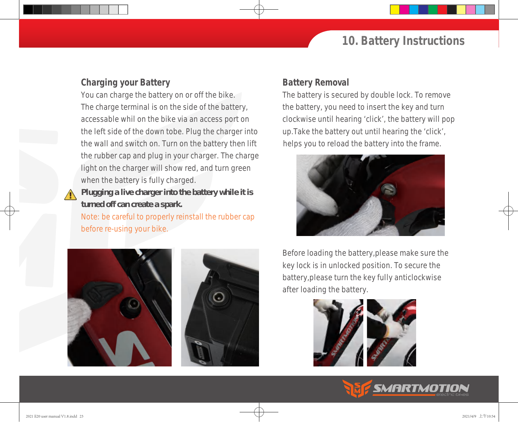#### *10. Battery Instructions*

#### *Charging your Battery*

You can charge the battery on or off the bike. The charge terminal is on the side of the battery, accessable whil on the bike via an access port on the left side of the down tobe. Plug the charger into the wall and switch on. Turn on the battery then lift the rubber cap and plug in your charger. The charge light on the charger will show red, and turn green when the battery is fully charged.

**Plugging a live charger into the battery while it is**   $\sqrt{N}$ **turned off can create a spark.** 

*Note: be careful to properly reinstall the rubber cap before re-using your bike.* 



#### *Battery Removal*

The battery is secured by double lock. To remove the battery, you need to insert the key and turn clockwise until hearing 'click', the battery will pop up.Take the battery out until hearing the 'click', helps you to reload the battery into the frame.



Before loading the battery,please make sure the key lock is in unlocked position. To secure the battery,please turn the key fully anticlockwise after loading the battery.



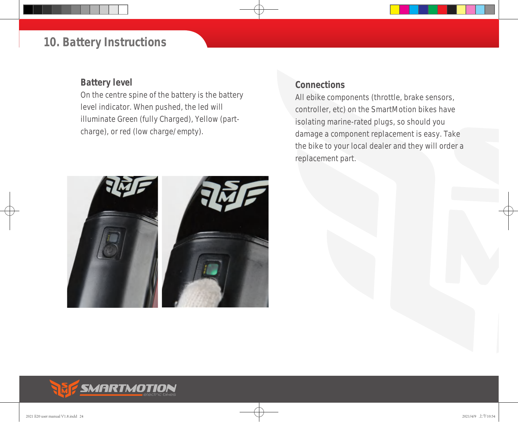#### *10. Battery Instructions*

#### *Battery level*

On the centre spine of the battery is the battery level indicator. When pushed, the led will illuminate Green (fully Charged), Yellow (partcharge), or red (low charge/empty).

#### *Connections*

All ebike components (throttle, brake sensors, controller, etc) on the SmartMotion bikes have isolating marine-rated plugs, so should you damage a component replacement is easy. Take the bike to your local dealer and they will order a replacement part.

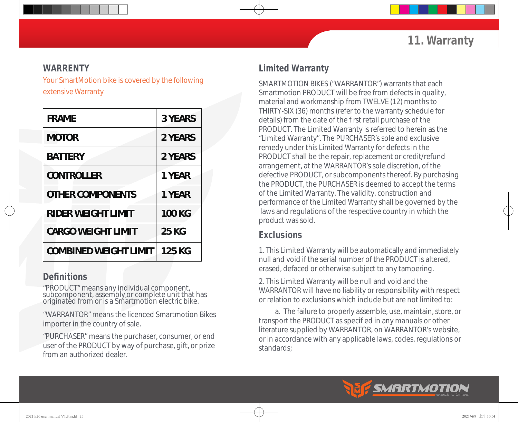#### *WARRENTY*

Your SmartMotion bike is covered by the following extensive Warranty

| <b>FRAME</b>                 | <b>3 YEARS</b> |
|------------------------------|----------------|
| <b>MOTOR</b>                 | 2 YEARS        |
| <b>BATTERY</b>               | <b>2 YEARS</b> |
| <b>CONTROLLER</b>            | <b>1 YEAR</b>  |
| <b>OTHER COMPONENTS</b>      | 1 YEAR         |
| <b>RIDER WEIGHT LIMIT</b>    | <b>100 KG</b>  |
| <b>CARGO WEIGHT LIMIT</b>    | <b>25 KG</b>   |
| <b>COMBINED WEIGHT LIMIT</b> | 125 KG         |

#### *Definitions*

"PRODUCT" means any individual component, subcomponent, assembly,or complete unit that has originated from or is a Smartmotion electric bike.

"WARRANTOR" means the licenced Smartmotion Bikes importer in the country of sale.

"PURCHASER" means the purchaser, consumer, or end user of the PRODUCT by way of purchase, gift, or prize from an authorized dealer.

#### *Limited Warranty*

SMARTMOTION BIKES ("WARRANTOR") warrants that each Smartmotion PRODUCT will be free from defects in quality, material and workmanship from TWELVE (12) months to THIRTY-SIX (36) months (refer to the warranty schedule for details) from the date of the rst retail purchase of the PRODUCT. The Limited Warranty is referred to herein as the "Limited Warranty". The PURCHASER's sole and exclusive remedy under this Limited Warranty for defects in the PRODUCT shall be the repair, replacement or credit/refund arrangement, at the WARRANTOR's sole discretion, of the defective PRODUCT, or subcomponents thereof. By purchasing the PRODUCT, the PURCHASER is deemed to accept the terms of the Limited Warranty. The validity, construction and performance of the Limited Warranty shall be governed by the laws and regulations of the respective country in which the product was sold.

#### *Exclusions*

1. This Limited Warranty will be automatically and immediately null and void if the serial number of the PRODUCT is altered, erased, defaced or otherwise subject to any tampering.

2. This Limited Warranty will be null and void and the WARRANTOR will have no liability or responsibility with respect or relation to exclusions which include but are not limited to:

 a. The failure to properly assemble, use, maintain, store, or transport the PRODUCT as specied in any manuals or other literature supplied by WARRANTOR, on WARRANTOR's website, or in accordance with any applicable laws, codes, regulations or standards;

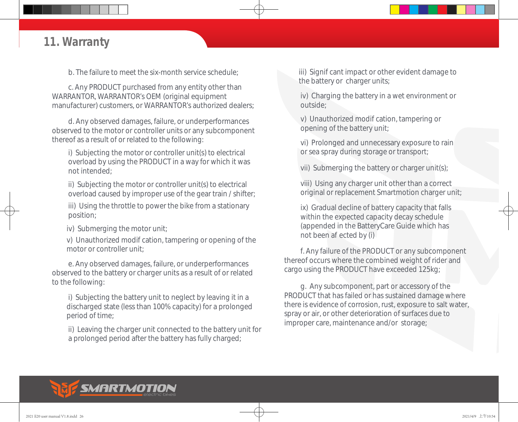#### *11. Warranty*

b. The failure to meet the six-month service schedule;

 c. Any PRODUCT purchased from any entity other than WARRANTOR, WARRANTOR's OEM (original equipment manufacturer) customers, or WARRANTOR's authorized dealers;

 d. Any observed damages, failure, or underperformances observed to the motor or controller units or any subcomponent thereof as a result of or related to the following:

 i) Subjecting the motor or controller unit(s) to electrical overload by using the PRODUCT in a way for which it was not intended;

 ii) Subjecting the motor or controller unit(s) to electrical overload caused by improper use of the gear train / shifter;

 iii) Using the throttle to power the bike from a stationary position;

iv) Submerging the motor unit;

v) Unauthorized modication, tampering or opening of the motor or controller unit;

 e. Any observed damages, failure, or underperformances observed to the battery or charger units as a result of or related to the following:

 i) Subjecting the battery unit to neglect by leaving it in a discharged state (less than 100% capacity) for a prolonged period of time;

 ii) Leaving the charger unit connected to the battery unit for a prolonged period after the battery has fully charged;

iii) Signi cant impact or other evident damage to the battery or charger units;

 iv) Charging the battery in a wet environment or outside;

v) Unauthorized modi cation, tampering or opening of the battery unit;

 vi) Prolonged and unnecessary exposure to rain or sea spray during storage or transport;

vii) Submerging the battery or charger unit(s);

 viii) Using any charger unit other than a correct original or replacement Smartmotion charger unit;

 ix) Gradual decline of battery capacity that falls within the expected capacity decay schedule (appended in the BatteryCare Guide which has not been a ected by (i)

 f. Any failure of the PRODUCT or any subcomponent thereof occurs where the combined weight of rider and cargo using the PRODUCT have exceeded 125kg;

 g. Any subcomponent, part or accessory of the PRODUCT that has failed or has sustained damage where there is evidence of corrosion, rust, exposure to salt water, spray or air, or other deterioration of surfaces due to improper care, maintenance and/or storage;

## SMARTMOTION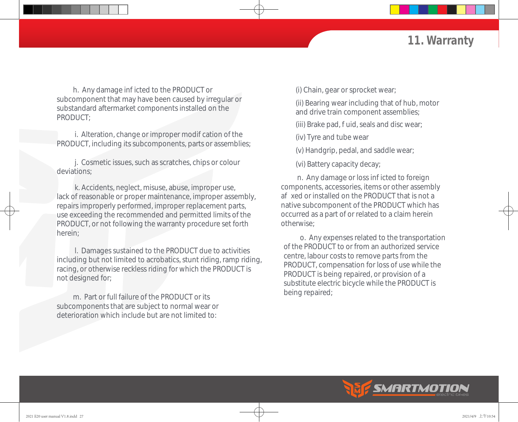#### *11. Warranty*

h. Any damage in icted to the PRODUCT or subcomponent that may have been caused by irregular or substandard aftermarket components installed on the PRODUCT;

i. Alteration, change or improper modi cation of the PRODUCT, including its subcomponents, parts or assemblies;

 j. Cosmetic issues, such as scratches, chips or colour deviations;

 k. Accidents, neglect, misuse, abuse, improper use, lack of reasonable or proper maintenance, improper assembly, repairs improperly performed, improper replacement parts, use exceeding the recommended and permitted limits of the PRODUCT, or not following the warranty procedure set forth herein;

 l. Damages sustained to the PRODUCT due to activities including but not limited to acrobatics, stunt riding, ramp riding, racing, or otherwise reckless riding for which the PRODUCT is not designed for;

 m. Part or full failure of the PRODUCT or its subcomponents that are subject to normal wear or deterioration which include but are not limited to:

(i) Chain, gear or sprocket wear;

 (ii) Bearing wear including that of hub, motor and drive train component assemblies;

(iii) Brake pad, uid, seals and disc wear;

(iv) Tyre and tube wear

(v) Handgrip, pedal, and saddle wear;

(vi) Battery capacity decay;

n. Any damage or loss in icted to foreign components, accessories, items or other assembly a xed or installed on the PRODUCT that is not a native subcomponent of the PRODUCT which has occurred as a part of or related to a claim herein otherwise;

 o. Any expenses related to the transportation of the PRODUCT to or from an authorized service centre, labour costs to remove parts from the PRODUCT, compensation for loss of use while the PRODUCT is being repaired, or provision of a substitute electric bicycle while the PRODUCT is being repaired;

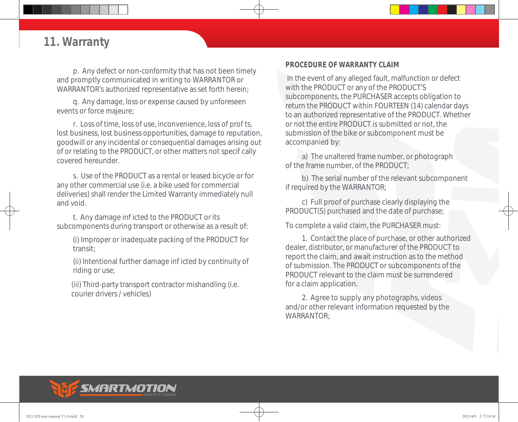#### *11. Warranty*

 p. Any defect or non-conformity that has not been timely and promptly communicated in writing to WARRANTOR or WARRANTOR's authorized representative as set forth herein;

 q. Any damage, loss or expense caused by unforeseen events or force majeure;

r. Loss of time, loss of use, inconvenience, loss of prots, lost business, lost business opportunities, damage to reputation, goodwill or any incidental or consequential damages arising out of or relating to the PRODUCT, or other matters not specically covered hereunder.

 s. Use of the PRODUCT as a rental or leased bicycle or for any other commercial use (i.e. a bike used for commercial deliveries) shall render the Limited Warranty immediately null and void.

t. Any damage in icted to the PRODUCT or its subcomponents during transport or otherwise as a result of:

 (i) Improper or inadequate packing of the PRODUCT for transit;

(ii) Intentional further damage in icted by continuity of riding or use;

 (iii) Third-party transport contractor mishandling (i.e. courier drivers / vehicles)

#### *PROCEDURE OF WARRANTY CLAIM*

 In the event of any alleged fault, malfunction or defect with the PRODUCT or any of the PRODUCT'S subcomponents, the PURCHASER accepts obligation to return the PRODUCT within FOURTEEN (14) calendar days to an authorized representative of the PRODUCT. Whether or not the entire PRODUCT is submitted or not, the submission of the bike or subcomponent must be accompanied by:

 a) The unaltered frame number, or photograph of the frame number, of the PRODUCT;

 b) The serial number of the relevant subcomponent if required by the WARRANTOR;

 c) Full proof of purchase clearly displaying the PRODUCT(S) purchased and the date of purchase;

To complete a valid claim, the PURCHASER must:

 1. Contact the place of purchase, or other authorized dealer, distributor, or manufacturer of the PRODUCT to report the claim, and await instruction as to the method of submission. The PRODUCT or subcomponents of the PRODUCT relevant to the claim must be surrendered for a claim application.

 2. Agree to supply any photographs, videos and/or other relevant information requested by the WARRANTOR;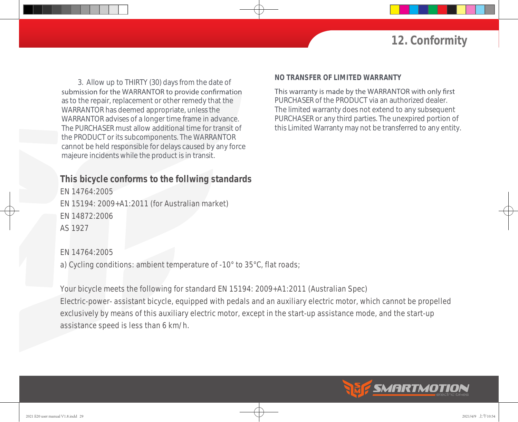#### *12. Conformity*

 3. Allow up to THIRTY (30) days from the date of submission for the WARRANTOR to provide confirmation as to the repair, replacement or other remedy that the WARRANTOR has deemed appropriate, unless the WARRANTOR advises of a longer time frame in advance. The PURCHASER must allow additional time for transit of the PRODUCT or its subcomponents. The WARRANTOR cannot be held responsible for delays caused by any force majeure incidents while the product is in transit.

#### *This bicycle conforms to the follwing standards*

EN 14764:2005 EN 15194: 2009+A1:2011 (for Australian market) EN 14872:2006 AS 1927

#### EN 14764:2005

a) Cycling conditions: ambient temperature of -10° to 35°C, flat roads;

Your bicycle meets the following for standard EN 15194: 2009+A1:2011 (Australian Spec) Electric-power- assistant bicycle, equipped with pedals and an auxiliary electric motor, which cannot be propelled exclusively by means of this auxiliary electric motor, except in the start-up assistance mode, and the start-up assistance speed is less than 6 km/h.

#### *NO TRANSFER OF LIMITED WARRANTY*

This warranty is made by the WARRANTOR with only first PURCHASER of the PRODUCT via an authorized dealer. The limited warranty does not extend to any subsequent PURCHASER or any third parties. The unexpired portion of this Limited Warranty may not be transferred to any entity.

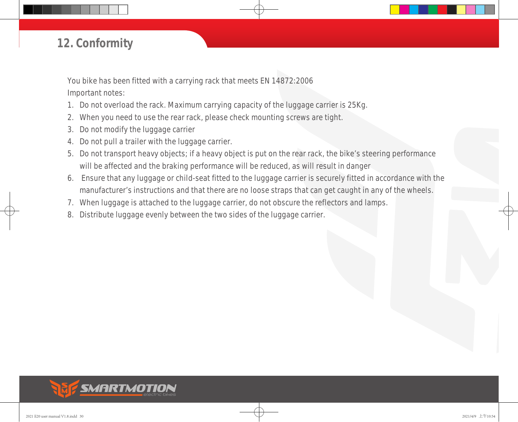#### *12. Conformity*

You bike has been fitted with a carrying rack that meets EN 14872:2006 Important notes:

- 1. Do not overload the rack. Maximum carrying capacity of the luggage carrier is 25Kg.
- 2. When you need to use the rear rack, please check mounting screws are tight.
- 3. Do not modify the luggage carrier
- 4. Do not pull a trailer with the luggage carrier.
- 5. Do not transport heavy objects; if a heavy object is put on the rear rack, the bike's steering performance will be affected and the braking performance will be reduced, as will result in danger
- 6. Ensure that any luggage or child-seat fitted to the luggage carrier is securely fitted in accordance with the manufacturer's instructions and that there are no loose straps that can get caught in any of the wheels.
- 7. When luggage is attached to the luggage carrier, do not obscure the reflectors and lamps.
- 8. Distribute luggage evenly between the two sides of the luggage carrier.

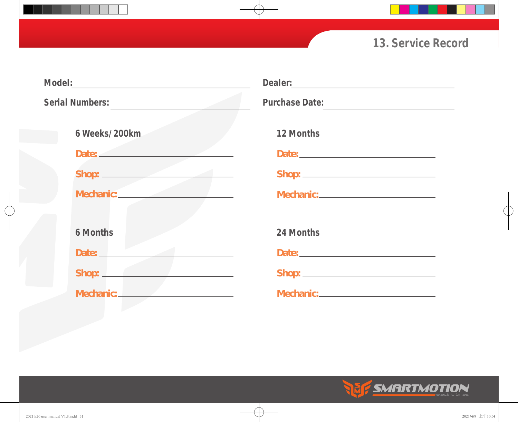## *13. Service Record*

|                 |                                                                    | Dealer: Dealer and Dealer and Dealer and Dealer and Dealer and Dealer and Dealer and Dealer and Dealer and Dealer and Dealer and Dealer and Dealer and Dealer and Dealer and Dealer and Dealer and Dealer and Dealer and Deale       |  |
|-----------------|--------------------------------------------------------------------|--------------------------------------------------------------------------------------------------------------------------------------------------------------------------------------------------------------------------------------|--|
| Serial Numbers: |                                                                    | Purchase Date:                                                                                                                                                                                                                       |  |
|                 | 6 Weeks/200km                                                      | 12 Months                                                                                                                                                                                                                            |  |
|                 | Date: <u>___________________</u>                                   |                                                                                                                                                                                                                                      |  |
|                 |                                                                    |                                                                                                                                                                                                                                      |  |
|                 |                                                                    |                                                                                                                                                                                                                                      |  |
|                 |                                                                    |                                                                                                                                                                                                                                      |  |
|                 | <b>6 Months</b>                                                    | 24 Months                                                                                                                                                                                                                            |  |
|                 | Date:                                                              | Date: <u>Date: Electronic Contract Contract Contract Contract Contract Contract Contract Contract Contract Contract Contract Contract Contract Contract Contract Contract Contract Contract Contract Contract Contract Contract </u> |  |
|                 | Shop: <u>Chambridge</u><br>the property of the control of the con- |                                                                                                                                                                                                                                      |  |
|                 | Mechanic: New York Property Assembly                               |                                                                                                                                                                                                                                      |  |
|                 |                                                                    |                                                                                                                                                                                                                                      |  |